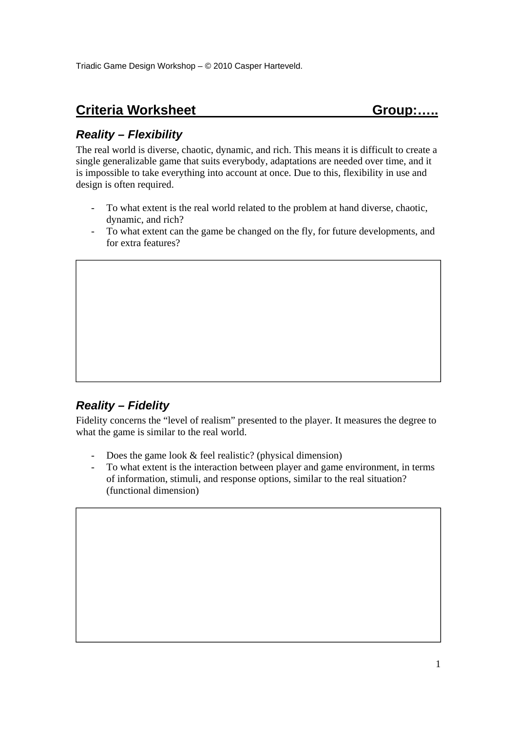# **Criteria Worksheet Group:.....** Group:.....

### *Reality – Flexibility*

The real world is diverse, chaotic, dynamic, and rich. This means it is difficult to create a single generalizable game that suits everybody, adaptations are needed over time, and it is impossible to take everything into account at once. Due to this, flexibility in use and design is often required.

- To what extent is the real world related to the problem at hand diverse, chaotic, dynamic, and rich?
- To what extent can the game be changed on the fly, for future developments, and for extra features?

# *Reality – Fidelity*

Fidelity concerns the "level of realism" presented to the player. It measures the degree to what the game is similar to the real world.

- Does the game look & feel realistic? (physical dimension)
- To what extent is the interaction between player and game environment, in terms of information, stimuli, and response options, similar to the real situation? (functional dimension)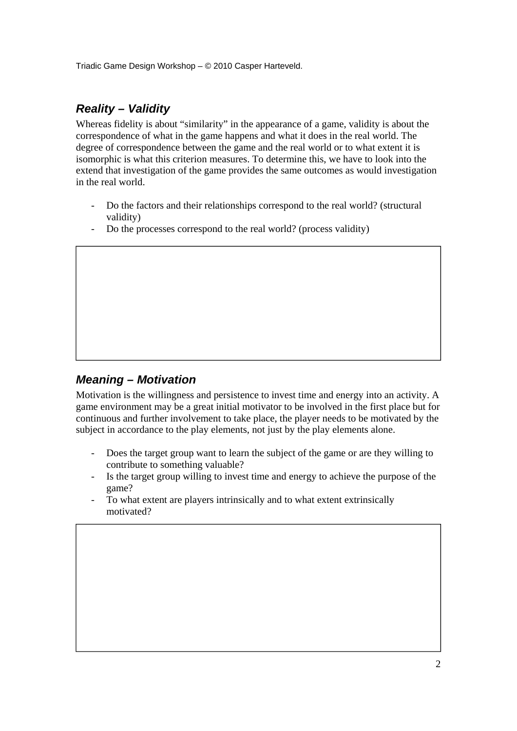### *Reality – Validity*

Whereas fidelity is about "similarity" in the appearance of a game, validity is about the correspondence of what in the game happens and what it does in the real world. The degree of correspondence between the game and the real world or to what extent it is isomorphic is what this criterion measures. To determine this, we have to look into the extend that investigation of the game provides the same outcomes as would investigation in the real world.

- Do the factors and their relationships correspond to the real world? (structural validity)
- Do the processes correspond to the real world? (process validity)

#### *Meaning – Motivation*

Motivation is the willingness and persistence to invest time and energy into an activity. A game environment may be a great initial motivator to be involved in the first place but for continuous and further involvement to take place, the player needs to be motivated by the subject in accordance to the play elements, not just by the play elements alone.

- Does the target group want to learn the subject of the game or are they willing to contribute to something valuable?
- Is the target group willing to invest time and energy to achieve the purpose of the game?
- To what extent are players intrinsically and to what extent extrinsically motivated?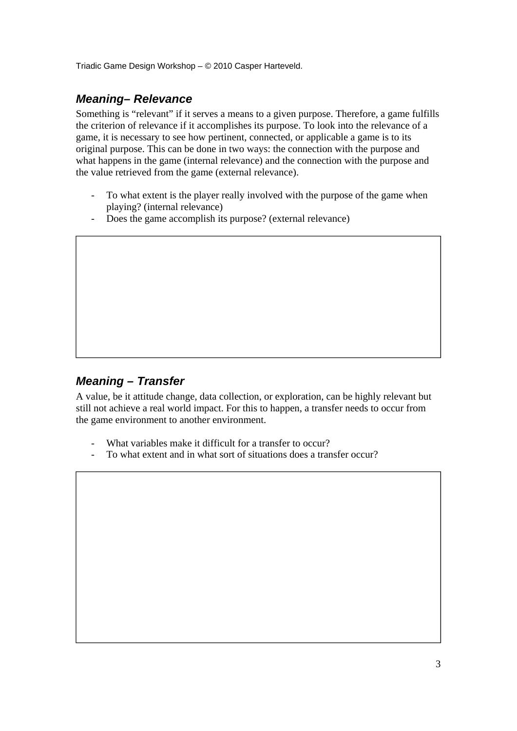#### *Meaning– Relevance*

Something is "relevant" if it serves a means to a given purpose. Therefore, a game fulfills the criterion of relevance if it accomplishes its purpose. To look into the relevance of a game, it is necessary to see how pertinent, connected, or applicable a game is to its original purpose. This can be done in two ways: the connection with the purpose and what happens in the game (internal relevance) and the connection with the purpose and the value retrieved from the game (external relevance).

- To what extent is the player really involved with the purpose of the game when playing? (internal relevance)
- Does the game accomplish its purpose? (external relevance)

#### *Meaning – Transfer*

A value, be it attitude change, data collection, or exploration, can be highly relevant but still not achieve a real world impact. For this to happen, a transfer needs to occur from the game environment to another environment.

- What variables make it difficult for a transfer to occur?
- To what extent and in what sort of situations does a transfer occur?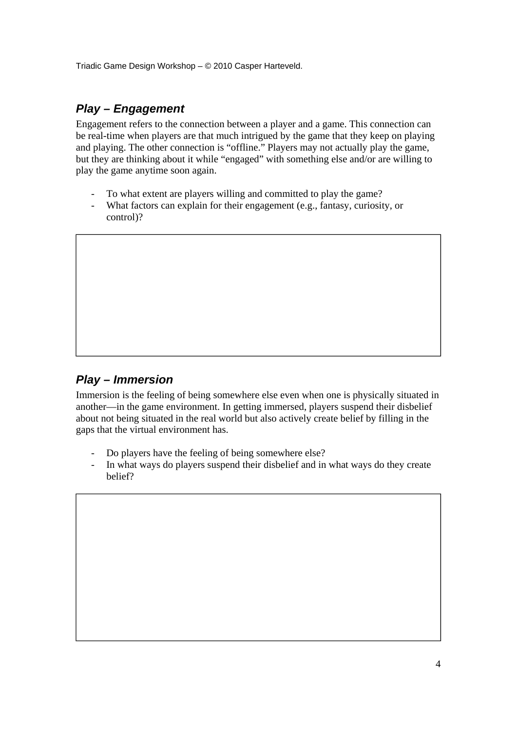# *Play – Engagement*

Engagement refers to the connection between a player and a game. This connection can be real-time when players are that much intrigued by the game that they keep on playing and playing. The other connection is "offline." Players may not actually play the game, but they are thinking about it while "engaged" with something else and/or are willing to play the game anytime soon again.

- To what extent are players willing and committed to play the game?
- What factors can explain for their engagement (e.g., fantasy, curiosity, or control)?

### *Play – Immersion*

Immersion is the feeling of being somewhere else even when one is physically situated in another—in the game environment. In getting immersed, players suspend their disbelief about not being situated in the real world but also actively create belief by filling in the gaps that the virtual environment has.

- Do players have the feeling of being somewhere else?
- In what ways do players suspend their disbelief and in what ways do they create belief?